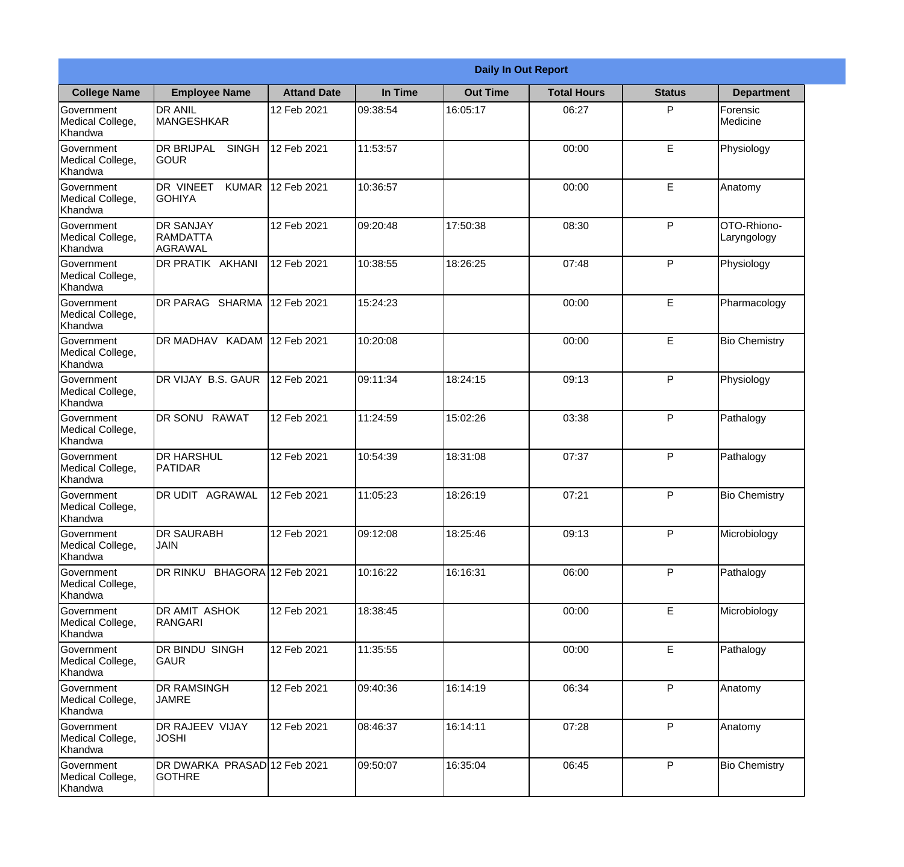|                                                  |                                                       |                    |          | <b>Daily In Out Report</b> |                    |               |                            |
|--------------------------------------------------|-------------------------------------------------------|--------------------|----------|----------------------------|--------------------|---------------|----------------------------|
| <b>College Name</b>                              | <b>Employee Name</b>                                  | <b>Attand Date</b> | In Time  | <b>Out Time</b>            | <b>Total Hours</b> | <b>Status</b> | <b>Department</b>          |
| Government<br>Medical College,<br>Khandwa        | <b>DR ANIL</b><br><b>MANGESHKAR</b>                   | 12 Feb 2021        | 09:38:54 | 16:05:17                   | 06:27              | P             | Forensic<br>Medicine       |
| Government<br>Medical College,<br>Khandwa        | <b>DR BRIJPAL</b><br><b>SINGH</b><br> GOUR            | 12 Feb 2021        | 11:53:57 |                            | 00:00              | E             | Physiology                 |
| <b>Government</b><br>Medical College,<br>Khandwa | DR VINEET<br><b>KUMAR</b><br><b>I</b> GOHIYA          | 12 Feb 2021        | 10:36:57 |                            | 00:00              | E             | Anatomy                    |
| Government<br>Medical College,<br>Khandwa        | <b>DR SANJAY</b><br><b>RAMDATTA</b><br><b>AGRAWAL</b> | 12 Feb 2021        | 09:20:48 | 17:50:38                   | 08:30              | P             | OTO-Rhiono-<br>Laryngology |
| Government<br>Medical College,<br>Khandwa        | <b>DR PRATIK AKHANI</b>                               | 12 Feb 2021        | 10:38:55 | 18:26:25                   | 07:48              | P             | Physiology                 |
| Government<br>Medical College,<br>Khandwa        | DR PARAG SHARMA                                       | 12 Feb 2021        | 15:24:23 |                            | 00:00              | E             | Pharmacology               |
| Government<br>Medical College,<br>Khandwa        | DR MADHAV KADAM 12 Feb 2021                           |                    | 10:20:08 |                            | 00:00              | E             | <b>Bio Chemistry</b>       |
| Government<br>Medical College,<br>Khandwa        | DR VIJAY B.S. GAUR                                    | 12 Feb 2021        | 09:11:34 | 18:24:15                   | 09:13              | P             | Physiology                 |
| Government<br>Medical College,<br>Khandwa        | <b>DR SONU RAWAT</b>                                  | 12 Feb 2021        | 11:24:59 | 15:02:26                   | 03:38              | P             | Pathalogy                  |
| Government<br>Medical College,<br>Khandwa        | <b>DR HARSHUL</b><br>PATIDAR                          | 12 Feb 2021        | 10:54:39 | 18:31:08                   | 07:37              | P             | Pathalogy                  |
| Government<br>Medical College,<br>Khandwa        | IDR UDIT<br><b>AGRAWAL</b>                            | 12 Feb 2021        | 11:05:23 | 18:26:19                   | 07:21              | $\mathsf{P}$  | <b>Bio Chemistry</b>       |
| Government<br>Medical College,<br>Khandwa        | <b>DR SAURABH</b><br><b>JAIN</b>                      | 12 Feb 2021        | 09:12:08 | 18:25:46                   | 09:13              | P             | Microbiology               |
| Government<br>Medical College,<br>Khandwa        | DR RINKU BHAGORA 12 Feb 2021                          |                    | 10:16:22 | 16:16:31                   | 06:00              | P             | Pathalogy                  |
| Government<br>Medical College,<br>Khandwa        | <b>DR AMIT ASHOK</b><br>RANGARI                       | 12 Feb 2021        | 18:38:45 |                            | 00:00              | E             | Microbiology               |
| Government<br>Medical College,<br>Khandwa        | DR BINDU SINGH<br><b>GAUR</b>                         | 12 Feb 2021        | 11:35:55 |                            | 00:00              | E             | Pathalogy                  |
| Government<br>Medical College,<br>Khandwa        | <b>DR RAMSINGH</b><br><b>JAMRE</b>                    | 12 Feb 2021        | 09:40:36 | 16:14:19                   | 06:34              | P             | Anatomy                    |
| Government<br>Medical College,<br>Khandwa        | <b>DR RAJEEV VIJAY</b><br><b>JOSHI</b>                | 12 Feb 2021        | 08:46:37 | 16:14:11                   | 07:28              | P             | Anatomy                    |
| Government<br>Medical College,<br>Khandwa        | DR DWARKA PRASAD 12 Feb 2021<br><b>GOTHRE</b>         |                    | 09:50:07 | 16:35:04                   | 06:45              | P             | <b>Bio Chemistry</b>       |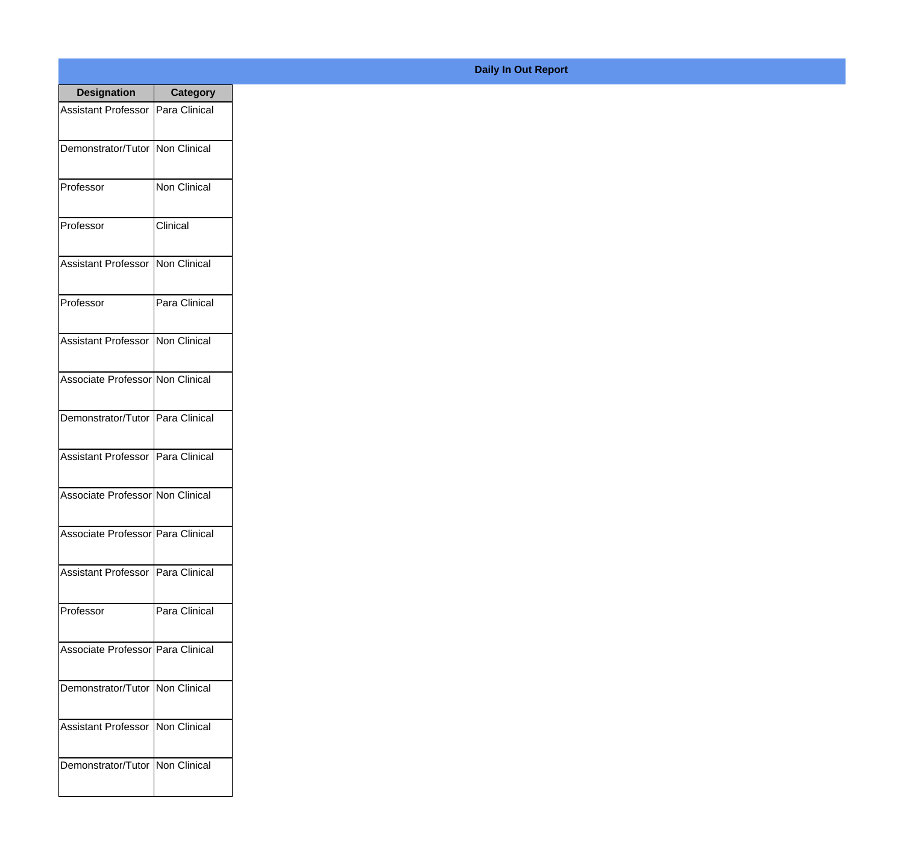| <b>Designation</b>                  | <b>Category</b>     |
|-------------------------------------|---------------------|
| Assistant Professor   Para Clinical |                     |
| Demonstrator/Tutor   Non Clinical   |                     |
| Professor                           | <b>Non Clinical</b> |
| Professor                           | Clinical            |
| <b>Assistant Professor</b>          | Non Clinical        |
| Professor                           | Para Clinical       |
| <b>Assistant Professor</b>          | Non Clinical        |
| Associate Professor Non Clinical    |                     |
| Demonstrator/Tutor   Para Clinical  |                     |
| <b>Assistant Professor</b>          | Para Clinical       |
| Associate Professor Non Clinical    |                     |
| Associate Professor   Para Clinical |                     |
| Assistant Professor   Para Clinical |                     |
| Professor                           | Para Clinical       |
| Associate Professor   Para Clinical |                     |
| Demonstrator/Tutor   Non Clinical   |                     |
| <b>Assistant Professor</b>          | Non Clinical        |
| Demonstrator/Tutor   Non Clinical   |                     |

## **Daily In Out Report**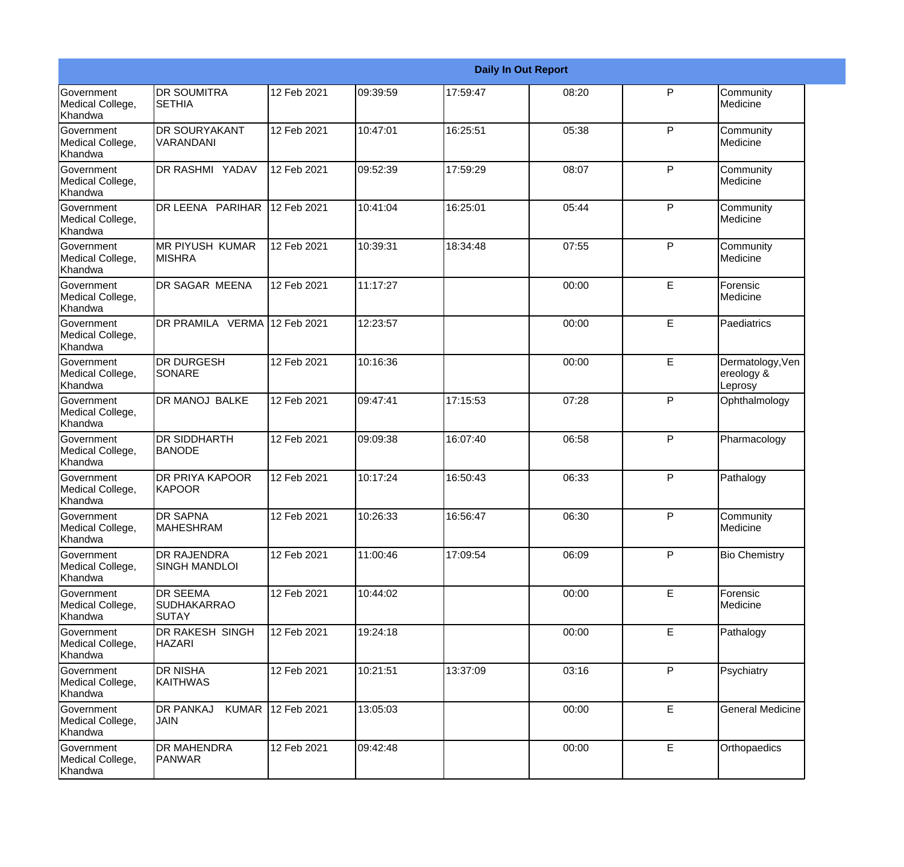|                                                  |                                                 |             |          |          | <b>Daily In Out Report</b> |              |                                           |
|--------------------------------------------------|-------------------------------------------------|-------------|----------|----------|----------------------------|--------------|-------------------------------------------|
| Government<br>Medical College,<br>Khandwa        | <b>DR SOUMITRA</b><br><b>SETHIA</b>             | 12 Feb 2021 | 09:39:59 | 17:59:47 | 08:20                      | $\mathsf{P}$ | Community<br>Medicine                     |
| Government<br>Medical College,<br>Khandwa        | <b>DR SOURYAKANT</b><br><b>VARANDANI</b>        | 12 Feb 2021 | 10:47:01 | 16:25:51 | 05:38                      | P            | Community<br>Medicine                     |
| <b>Government</b><br>Medical College,<br>Khandwa | <b>DR RASHMI YADAV</b>                          | 12 Feb 2021 | 09:52:39 | 17:59:29 | 08:07                      | P            | Community<br>Medicine                     |
| <b>Government</b><br>Medical College,<br>Khandwa | DR LEENA PARIHAR                                | 12 Feb 2021 | 10:41:04 | 16:25:01 | 05:44                      | P            | Community<br>Medicine                     |
| <b>Government</b><br>Medical College,<br>Khandwa | <b>MR PIYUSH KUMAR</b><br><b>MISHRA</b>         | 12 Feb 2021 | 10:39:31 | 18:34:48 | 07:55                      | P            | Community<br>Medicine                     |
| Government<br>Medical College,<br>Khandwa        | <b>DR SAGAR MEENA</b>                           | 12 Feb 2021 | 11:17:27 |          | 00:00                      | E            | Forensic<br>Medicine                      |
| <b>Government</b><br>Medical College,<br>Khandwa | DR PRAMILA VERMA 12 Feb 2021                    |             | 12:23:57 |          | 00:00                      | E            | Paediatrics                               |
| Government<br>Medical College,<br>Khandwa        | <b>DR DURGESH</b><br>SONARE                     | 12 Feb 2021 | 10:16:36 |          | 00:00                      | E            | Dermatology, Ven<br>ereology &<br>Leprosy |
| Government<br>Medical College,<br>Khandwa        | DR MANOJ BALKE                                  | 12 Feb 2021 | 09:47:41 | 17:15:53 | 07:28                      | $\mathsf{P}$ | Ophthalmology                             |
| <b>Government</b><br>Medical College,<br>Khandwa | <b>DR SIDDHARTH</b><br><b>BANODE</b>            | 12 Feb 2021 | 09:09:38 | 16:07:40 | 06:58                      | P            | Pharmacology                              |
| <b>Government</b><br>Medical College,<br>Khandwa | <b>DR PRIYA KAPOOR</b><br>KAPOOR                | 12 Feb 2021 | 10:17:24 | 16:50:43 | 06:33                      | P            | Pathalogy                                 |
| Government<br>Medical College,<br>Khandwa        | <b>DR SAPNA</b><br><b>MAHESHRAM</b>             | 12 Feb 2021 | 10:26:33 | 16:56:47 | 06:30                      | P            | Community<br>Medicine                     |
| Government<br>Medical College,<br>Khandwa        | <b>DR RAJENDRA</b><br><b>SINGH MANDLOI</b>      | 12 Feb 2021 | 11:00:46 | 17:09:54 | 06:09                      | P            | <b>Bio Chemistry</b>                      |
| Government<br>Medical College,<br>Khandwa        | <b>DR SEEMA</b><br><b>SUDHAKARRAO</b><br>ISUTAY | 12 Feb 2021 | 10:44:02 |          | 00:00                      | E            | Forensic<br>Medicine                      |
| Government<br>Medical College,<br>Khandwa        | DR RAKESH SINGH<br><b>HAZARI</b>                | 12 Feb 2021 | 19:24:18 |          | 00:00                      | E            | Pathalogy                                 |
| Government<br>Medical College,<br>Khandwa        | <b>DR NISHA</b><br><b>KAITHWAS</b>              | 12 Feb 2021 | 10:21:51 | 13:37:09 | 03:16                      | P            | Psychiatry                                |
| Government<br>Medical College,<br>Khandwa        | <b>KUMAR</b><br><b>DR PANKAJ</b><br><b>JAIN</b> | 12 Feb 2021 | 13:05:03 |          | 00:00                      | $\mathsf E$  | <b>General Medicine</b>                   |
| Government<br>Medical College,<br>Khandwa        | <b>DR MAHENDRA</b><br>PANWAR                    | 12 Feb 2021 | 09:42:48 |          | 00:00                      | E            | Orthopaedics                              |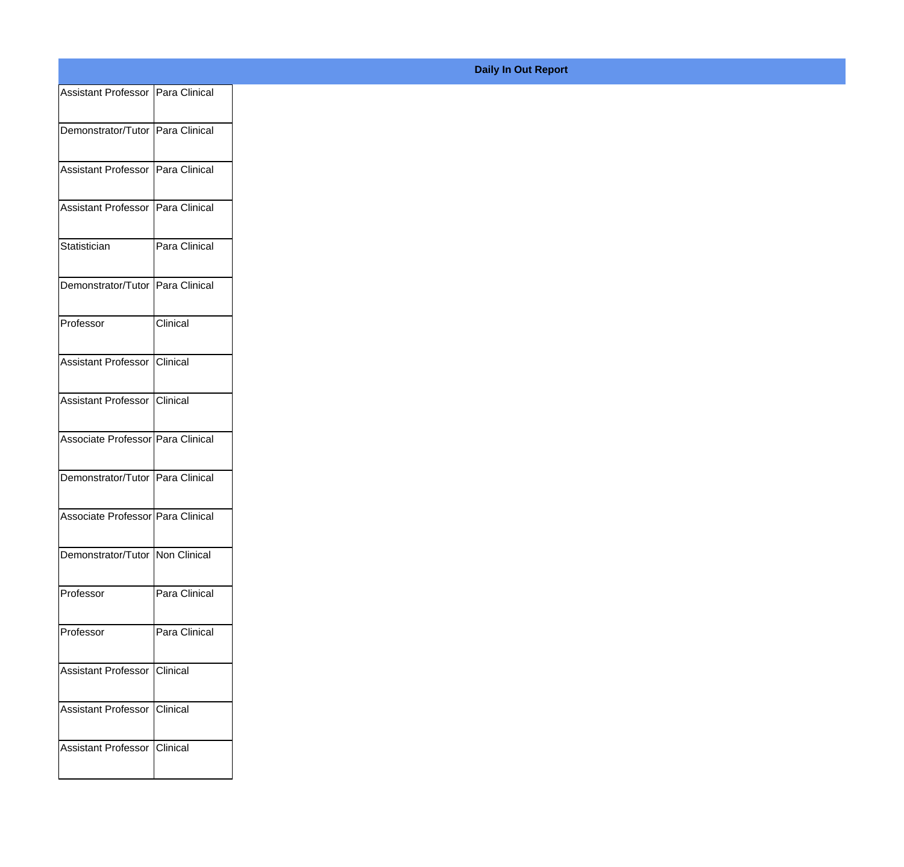| Assistant Professor   Para Clinical |                 |
|-------------------------------------|-----------------|
|                                     |                 |
| Demonstrator/Tutor Para Clinical    |                 |
| Assistant Professor Para Clinical   |                 |
|                                     |                 |
| Assistant Professor   Para Clinical |                 |
| Statistician                        | Para Clinical   |
|                                     |                 |
| Demonstrator/Tutor Para Clinical    |                 |
| Professor                           | Clinical        |
|                                     |                 |
| Assistant Professor Clinical        |                 |
| Assistant Professor Clinical        |                 |
| Associate Professor Para Clinical   |                 |
|                                     |                 |
| Demonstrator/Tutor Para Clinical    |                 |
| Associate Professor Para Clinical   |                 |
|                                     |                 |
| Demonstrator/Tutor Non Clinical     |                 |
| Professor                           | Para Clinical   |
|                                     |                 |
| Professor                           | Para Clinical   |
| Assistant Professor                 | <b>Clinical</b> |
|                                     |                 |
| Assistant Professor                 | <b>Clinical</b> |
| Assistant Professor                 | <b>Clinical</b> |
|                                     |                 |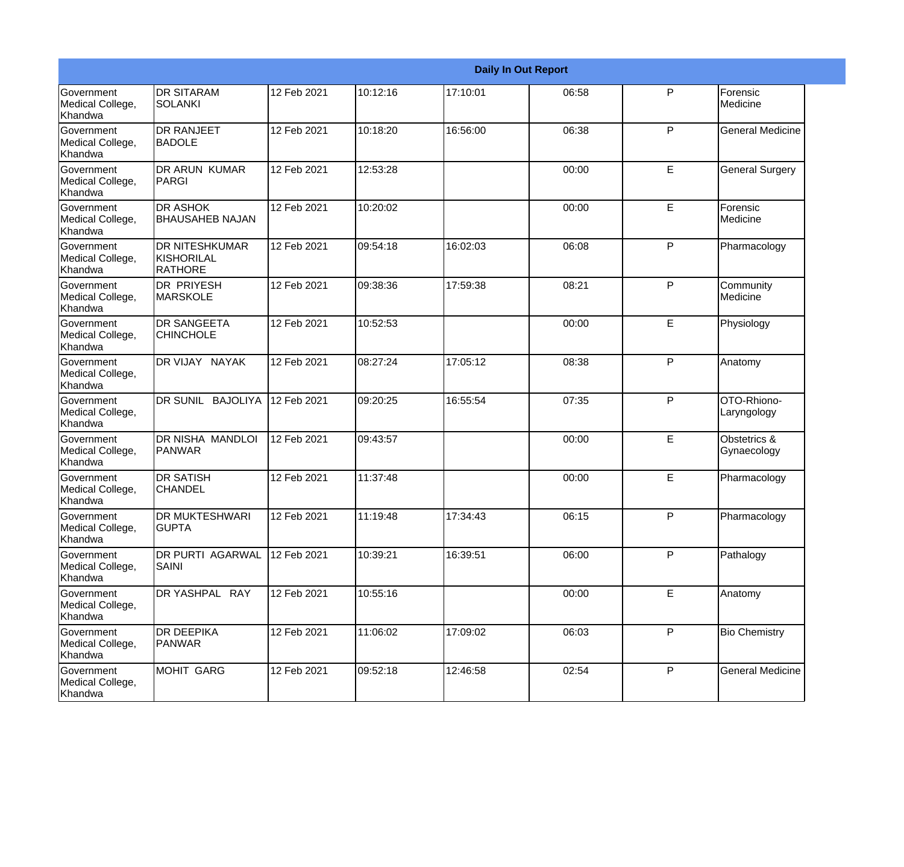|                                                  |                                                              |             |          |          | <b>Daily In Out Report</b> |   |                                |
|--------------------------------------------------|--------------------------------------------------------------|-------------|----------|----------|----------------------------|---|--------------------------------|
| Government<br>Medical College,<br>Khandwa        | <b>DR SITARAM</b><br><b>SOLANKI</b>                          | 12 Feb 2021 | 10:12:16 | 17:10:01 | 06:58                      | P | Forensic<br>Medicine           |
| Government<br>Medical College,<br>Khandwa        | <b>DR RANJEET</b><br><b>BADOLE</b>                           | 12 Feb 2021 | 10:18:20 | 16:56:00 | 06:38                      | P | <b>General Medicine</b>        |
| <b>Government</b><br>Medical College,<br>Khandwa | <b>DR ARUN KUMAR</b><br>PARGI                                | 12 Feb 2021 | 12:53:28 |          | 00:00                      | E | <b>General Surgery</b>         |
| Government<br>Medical College,<br>Khandwa        | <b>DR ASHOK</b><br><b>BHAUSAHEB NAJAN</b>                    | 12 Feb 2021 | 10:20:02 |          | 00:00                      | E | Forensic<br>Medicine           |
| <b>Government</b><br>Medical College,<br>Khandwa | <b>DR NITESHKUMAR</b><br><b>KISHORILAL</b><br><b>RATHORE</b> | 12 Feb 2021 | 09:54:18 | 16:02:03 | 06:08                      | P | Pharmacology                   |
| Government<br>Medical College,<br>Khandwa        | <b>DR PRIYESH</b><br><b>MARSKOLE</b>                         | 12 Feb 2021 | 09:38:36 | 17:59:38 | 08:21                      | P | Community<br><b>I</b> Medicine |
| <b>Government</b><br>Medical College,<br>Khandwa | <b>DR SANGEETA</b><br><b>CHINCHOLE</b>                       | 12 Feb 2021 | 10:52:53 |          | 00:00                      | E | Physiology                     |
| Government<br>Medical College,<br>Khandwa        | DR VIJAY NAYAK                                               | 12 Feb 2021 | 08:27:24 | 17:05:12 | 08:38                      | P | Anatomy                        |
| Government<br>Medical College,<br>Khandwa        | DR SUNIL BAJOLIYA                                            | 12 Feb 2021 | 09:20:25 | 16:55:54 | 07:35                      | P | OTO-Rhiono-<br>Laryngology     |
| <b>Government</b><br>Medical College,<br>Khandwa | DR NISHA MANDLOI<br>PANWAR                                   | 12 Feb 2021 | 09:43:57 |          | 00:00                      | E | Obstetrics &<br>Gynaecology    |
| <b>Government</b><br>Medical College,<br>Khandwa | <b>DR SATISH</b><br><b>CHANDEL</b>                           | 12 Feb 2021 | 11:37:48 |          | 00:00                      | E | Pharmacology                   |
| Government<br>Medical College,<br>Khandwa        | <b>DR MUKTESHWARI</b><br><b>GUPTA</b>                        | 12 Feb 2021 | 11:19:48 | 17:34:43 | 06:15                      | P | Pharmacology                   |
| Government<br>Medical College,<br>Khandwa        | DR PURTI AGARWAL<br><b>SAINI</b>                             | 12 Feb 2021 | 10:39:21 | 16:39:51 | 06:00                      | P | Pathalogy                      |
| Government<br>Medical College,<br>Khandwa        | DR YASHPAL RAY                                               | 12 Feb 2021 | 10:55:16 |          | 00:00                      | E | Anatomy                        |
| Government<br>Medical College,<br>Khandwa        | <b>DR DEEPIKA</b><br>PANWAR                                  | 12 Feb 2021 | 11:06:02 | 17:09:02 | 06:03                      | P | <b>Bio Chemistry</b>           |
| Government<br>Medical College,<br>Khandwa        | <b>MOHIT GARG</b>                                            | 12 Feb 2021 | 09:52:18 | 12:46:58 | 02:54                      | P | <b>General Medicine</b>        |